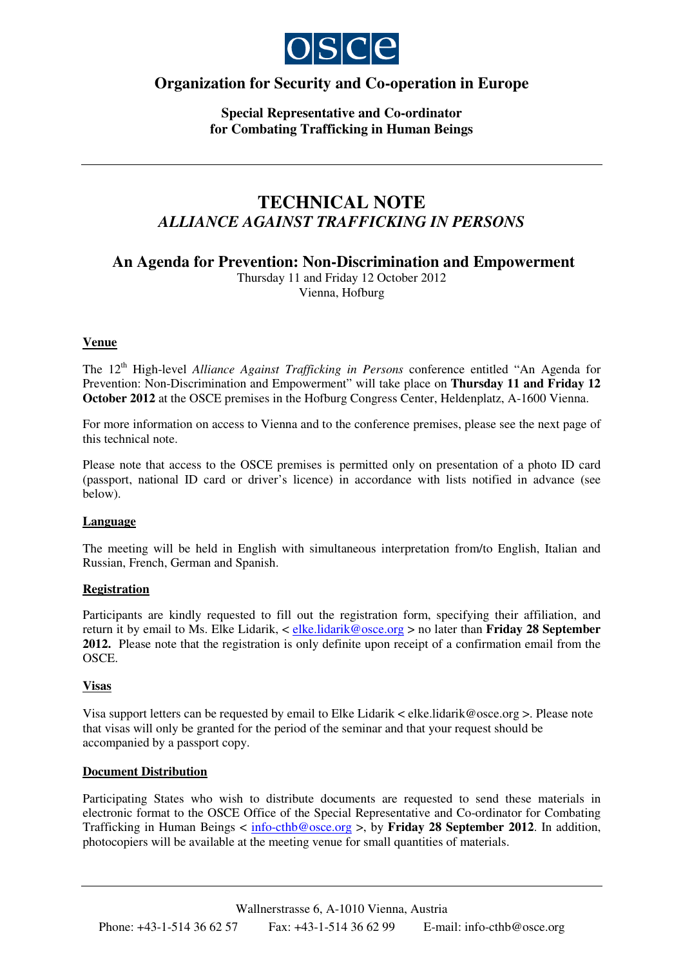

# **Organization for Security and Co-operation in Europe**

**Special Representative and Co-ordinator for Combating Trafficking in Human Beings**

# **TECHNICAL NOTE** *ALLIANCE AGAINST TRAFFICKING IN PERSONS*

**An Agenda for Prevention: Non-Discrimination and Empowerment**

Thursday 11 and Friday 12 October 2012 Vienna, Hofburg

# **Venue**

The 12 th High-level *Alliance Against Trafficking in Persons* conference entitled "An Agenda for Prevention: Non-Discrimination and Empowerment" will take place on **Thursday 11 and Friday 12 October 2012** at the OSCE premises in the Hofburg Congress Center, Heldenplatz, A-1600 Vienna.

For more information on access to Vienna and to the conference premises, please see the next page of this technical note.

Please note that access to the OSCE premises is permitted only on presentation of a photo ID card (passport, national ID card or driver's licence) in accordance with lists notified in advance (see below).

# **Language**

The meeting will be held in English with simultaneous interpretation from/to English, Italian and Russian, French, German and Spanish.

# **Registration**

Participants are kindly requested to fill out the registration form, specifying their affiliation, and return it by email to Ms. Elke Lidarik, < elke.lidarik@osce.org > no later than **Friday 28 September 2012.** Please note that the registration is only definite upon receipt of a confirmation email from the OSCE.

# **Visas**

Visa support letters can be requested by email to Elke Lidarik < elke.lidarik@osce.org >. Please note that visas will only be granted for the period of the seminar and that your request should be accompanied by a passport copy.

#### **Document Distribution**

Participating States who wish to distribute documents are requested to send these materials in electronic format to the OSCE Office of the Special Representative and Co-ordinator for Combating Trafficking in Human Beings < info-cthb@osce.org >, by **Friday 28 September 2012**. In addition, photocopiers will be available at the meeting venue for small quantities of materials.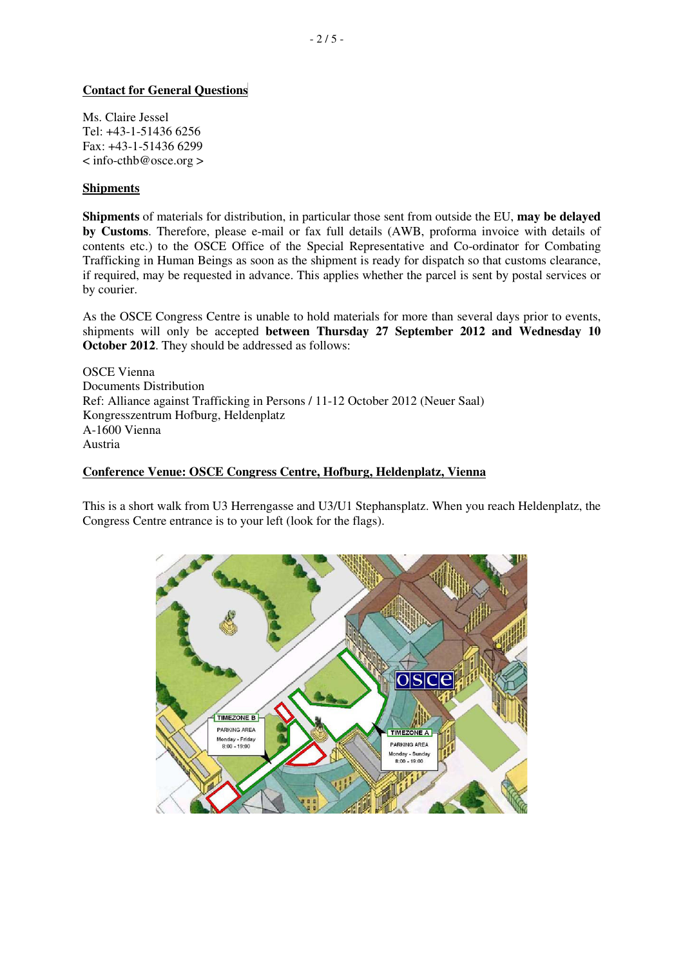# **Contact for General Questions**

Ms. Claire Jessel Tel: +43-1-51436 6256 Fax: +43-1-51436 6299 < info-cthb@osce.org >

#### **Shipments**

**Shipments** of materials for distribution, in particular those sent from outside the EU, **may be delayed by Customs**. Therefore, please e-mail or fax full details (AWB, proforma invoice with details of contents etc.) to the OSCE Office of the Special Representative and Co-ordinator for Combating Trafficking in Human Beings as soon as the shipment is ready for dispatch so that customs clearance, if required, may be requested in advance. This applies whether the parcel is sent by postal services or by courier.

As the OSCE Congress Centre is unable to hold materials for more than several days prior to events, shipments will only be accepted **between Thursday 27 September 2012 and Wednesday 10 October 2012**. They should be addressed as follows:

OSCE Vienna Documents Distribution Ref: Alliance against Trafficking in Persons / 11-12 October 2012 (Neuer Saal) Kongresszentrum Hofburg, Heldenplatz A-1600 Vienna Austria

#### **Conference Venue: OSCE Congress Centre, Hofburg, Heldenplatz, Vienna**

This is a short walk from U3 Herrengasse and U3/U1 Stephansplatz. When you reach Heldenplatz, the Congress Centre entrance is to your left (look for the flags).

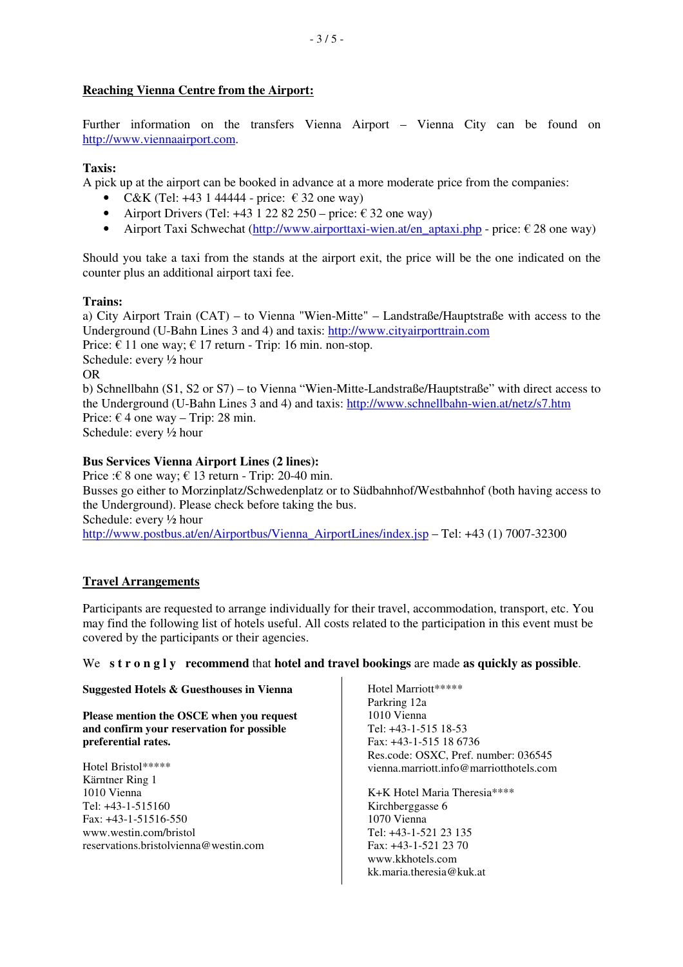# **Reaching Vienna Centre from the Airport:**

Further information on the transfers Vienna Airport – Vienna City can be found on http://www.viennaairport.com.

# **Taxis:**

A pick up at the airport can be booked in advance at a more moderate price from the companies:

- C&K (Tel: +43 1 44444 price:  $\epsilon$  32 one way)
- Airport Drivers (Tel:  $+43$  1 22 82 250 price:  $\epsilon$  32 one way)
- Airport Taxi Schwechat (http://www.airporttaxi-wien.at/en\_aptaxi.php price:  $\epsilon$  28 one way)

Should you take a taxi from the stands at the airport exit, the price will be the one indicated on the counter plus an additional airport taxi fee.

#### **Trains:**

a) City Airport Train (CAT) – to Vienna "Wien-Mitte" – Landstraße/Hauptstraße with access to the Underground (U-Bahn Lines 3 and 4) and taxis: http://www.cityairporttrain.com Price:  $\epsilon$  11 one way;  $\epsilon$  17 return - Trip: 16 min. non-stop. Schedule: every ½ hour OR b) Schnellbahn (S1, S2 or S7) – to Vienna "Wien-Mitte-Landstraße/Hauptstraße" with direct access to the Underground (U-Bahn Lines 3 and 4) and taxis: http://www.schnellbahn-wien.at/netz/s7.htm Price:  $\epsilon$  4 one way – Trip: 28 min. Schedule: every ½ hour

# **Bus Services Vienna Airport Lines (2 lines):**

Price : $\epsilon$  8 one way;  $\epsilon$  13 return - Trip: 20-40 min. Busses go either to Morzinplatz/Schwedenplatz or to Südbahnhof/Westbahnhof (both having access to the Underground). Please check before taking the bus. Schedule: every ½ hour http://www.postbus.at/en/Airportbus/Vienna\_AirportLines/index.jsp – Tel: +43 (1) 7007-32300

# **Travel Arrangements**

Participants are requested to arrange individually for their travel, accommodation, transport, etc. You may find the following list of hotels useful. All costs related to the participation in this event must be covered by the participants or their agencies.

# We **s t r o n g l y recommend** that **hotel and travel bookings** are made **as quickly as possible**.

**Suggested Hotels & Guesthouses in Vienna**

**Please mention the OSCE when you request and confirm your reservation for possible preferential rates.**

Hotel Bristol\*\*\*\*\* Kärntner Ring 1 1010 Vienna Tel: +43-1-515160 Fax: +43-1-51516-550 www.westin.com/bristol reservations.bristolvienna@westin.com

Hotel Marriott\*\*\*\*\* Parkring 12a 1010 Vienna Tel: +43-1-515 18-53 Fax: +43-1-515 18 6736 Res.code: OSXC, Pref. number: 036545 vienna.marriott.info@marriotthotels.com

K+K Hotel Maria Theresia\*\*\*\* Kirchberggasse 6 1070 Vienna Tel: +43-1-521 23 135 Fax: +43-1-521 23 70 www.kkhotels.com kk.maria.theresia@kuk.at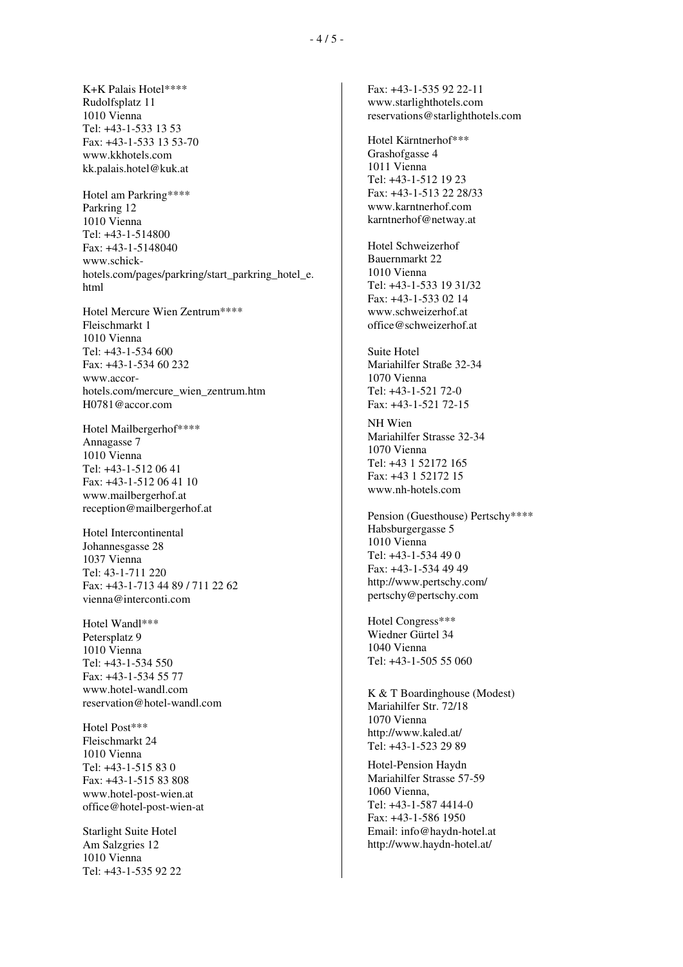K+K Palais Hotel\*\*\*\* Rudolfsplatz 11 1010 Vienna Tel: +43-1-533 13 53 Fax: +43-1-533 13 53-70 www.kkhotels.com kk.palais.hotel@kuk.at

Hotel am Parkring\*\*\*\* Parkring 12 1010 Vienna Tel: +43-1-514800 Fax: +43-1-5148040 www.schickhotels.com/pages/parkring/start\_parkring\_hotel\_e. html

Hotel Mercure Wien Zentrum\*\*\*\* Fleischmarkt 1 1010 Vienna Tel: +43-1-534 600 Fax: +43-1-534 60 232 www.accorhotels.com/mercure\_wien\_zentrum.htm H0781@accor.com

Hotel Mailbergerhof\*\*\*\* Annagasse 7 1010 Vienna Tel: +43-1-512 06 41 Fax: +43-1-512 06 41 10 www.mailbergerhof.at reception@mailbergerhof.at

Hotel Intercontinental Johannesgasse 28 1037 Vienna Tel: 43-1-711 220 Fax: +43-1-713 44 89 / 711 22 62 vienna@interconti.com

Hotel Wandl\*\*\* Petersplatz 9 1010 Vienna Tel: +43-1-534 550 Fax: +43-1-534 55 77 www.hotel-wandl.com reservation@hotel-wandl.com

Hotel Post\*\*\* Fleischmarkt 24 1010 Vienna Tel: +43-1-515 83 0 Fax: +43-1-515 83 808 www.hotel-post-wien.at office@hotel-post-wien-at

Starlight Suite Hotel Am Salzgries 12 1010 Vienna Tel: +43-1-535 92 22 Fax: +43-1-535 92 22-11 www.starlighthotels.com reservations@starlighthotels.com

Hotel Kärntnerhof\*\*\* Grashofgasse 4 1011 Vienna Tel: +43-1-512 19 23 Fax: +43-1-513 22 28/33 www.karntnerhof.com karntnerhof@netway.at

Hotel Schweizerhof Bauernmarkt 22 1010 Vienna Tel: +43-1-533 19 31/32 Fax: +43-1-533 02 14 www.schweizerhof.at office@schweizerhof.at

Suite Hotel Mariahilfer Straße 32-34 1070 Vienna Tel: +43-1-521 72-0 Fax: +43-1-521 72-15

NH Wien Mariahilfer Strasse 32-34 1070 Vienna Tel: +43 1 52172 165 Fax: +43 1 52172 15 www.nh-hotels.com

Pension (Guesthouse) Pertschy\*\*\*\* Habsburgergasse 5 1010 Vienna Tel: +43-1-534 49 0 Fax: +43-1-534 49 49 http://www.pertschy.com/ pertschy@pertschy.com

Hotel Congress\*\*\* Wiedner Gürtel 34 1040 Vienna Tel: +43-1-505 55 060

K & T Boardinghouse (Modest) Mariahilfer Str. 72/18 1070 Vienna http://www.kaled.at/ Tel: +43-1-523 29 89

Hotel-Pension Haydn Mariahilfer Strasse 57-59 1060 Vienna, Tel: +43-1-587 4414-0 Fax: +43-1-586 1950 Email: info@haydn-hotel.at http://www.haydn-hotel.at/